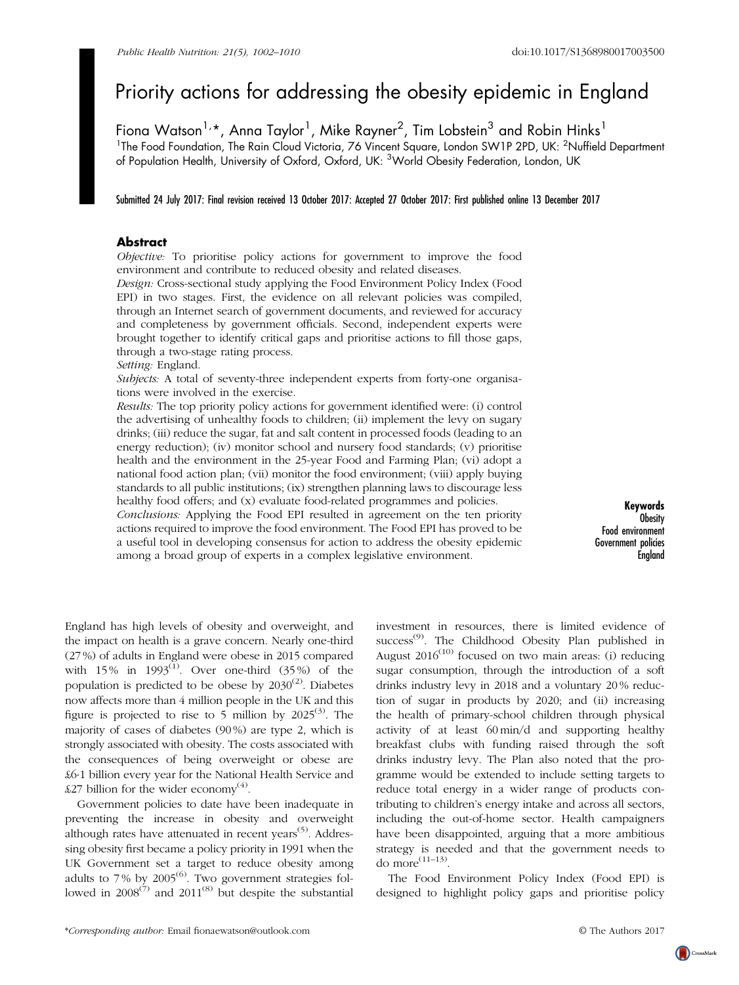# Priority actions for addressing the obesity epidemic in England

Fiona Watson<sup>1,</sup>\*, Anna Taylor<sup>1</sup>, Mike Rayner<sup>2</sup>, Tim Lobstein<sup>3</sup> and Robin Hinks<sup>1</sup> <sup>1</sup>The Food Foundation, The Rain Cloud Victoria, 76 Vincent Square, London SW1P 2PD, UK: <sup>2</sup>Nuffield Department of Population Health, University of Oxford, Oxford, UK: <sup>3</sup>World Obesity Federation, London, UK

Submitted 24 July 2017: Final revision received 13 October 2017: Accepted 27 October 2017: First published online 13 December 2017

# Abstract

Objective: To prioritise policy actions for government to improve the food environment and contribute to reduced obesity and related diseases.

Design: Cross-sectional study applying the Food Environment Policy Index (Food EPI) in two stages. First, the evidence on all relevant policies was compiled, through an Internet search of government documents, and reviewed for accuracy and completeness by government officials. Second, independent experts were brought together to identify critical gaps and prioritise actions to fill those gaps, through a two-stage rating process.

Setting: England.

Subjects: A total of seventy-three independent experts from forty-one organisations were involved in the exercise.

Results: The top priority policy actions for government identified were: (i) control the advertising of unhealthy foods to children; (ii) implement the levy on sugary drinks; (iii) reduce the sugar, fat and salt content in processed foods (leading to an energy reduction); (iv) monitor school and nursery food standards; (v) prioritise health and the environment in the 25-year Food and Farming Plan; (vi) adopt a national food action plan; (vii) monitor the food environment; (viii) apply buying standards to all public institutions; (ix) strengthen planning laws to discourage less healthy food offers; and (x) evaluate food-related programmes and policies. Conclusions: Applying the Food EPI resulted in agreement on the ten priority actions required to improve the food environment. The Food EPI has proved to be a useful tool in developing consensus for action to address the obesity epidemic among a broad group of experts in a complex legislative environment.

Keywords **Obesity** Food environment Government policies **England** 

England has high levels of obesity and overweight, and the impact on health is a grave concern. Nearly one-third (27 %) of adults in England were obese in 2015 compared with  $15\%$  $15\%$  in  $1993^{(1)}$ . Over one-third (35%) of the population is predicted to be obese by  $2030^{(2)}$  $2030^{(2)}$  $2030^{(2)}$ . Diabetes now affects more than 4 million people in the UK and this figure is projected to rise to 5 million by  $2025^{(3)}$  $2025^{(3)}$  $2025^{(3)}$ . The majority of cases of diabetes (90 %) are type 2, which is strongly associated with obesity. The costs associated with the consequences of being overweight or obese are £6·1 billion every year for the National Health Service and  $\pounds27$  billion for the wider economy<sup>([4](#page-8-0))</sup>.

Government policies to date have been inadequate in preventing the increase in obesity and overweight although rates have attenuated in recent years<sup> $(5)$ </sup>. Addressing obesity first became a policy priority in 1991 when the UK Government set a target to reduce obesity among adults to 7% by  $2005^{(6)}$  $2005^{(6)}$  $2005^{(6)}$ . Two government strategies followed in  $2008^{(7)}$  $2008^{(7)}$  $2008^{(7)}$  and  $2011^{(8)}$  $2011^{(8)}$  $2011^{(8)}$  but despite the substantial investment in resources, there is limited evidence of success<sup>([9](#page-8-0))</sup>. The Childhood Obesity Plan published in August  $2016^{(10)}$  $2016^{(10)}$  $2016^{(10)}$  focused on two main areas: (i) reducing sugar consumption, through the introduction of a soft drinks industry levy in 2018 and a voluntary 20 % reduction of sugar in products by 2020; and (ii) increasing the health of primary-school children through physical activity of at least 60 min/d and supporting healthy breakfast clubs with funding raised through the soft drinks industry levy. The Plan also noted that the programme would be extended to include setting targets to reduce total energy in a wider range of products contributing to children's energy intake and across all sectors, including the out-of-home sector. Health campaigners have been disappointed, arguing that a more ambitious strategy is needed and that the government needs to  $\frac{1}{2}$  do more<sup>[\(11](#page-8-0)–[13\)](#page-8-0)</sup>.

The Food Environment Policy Index (Food EPI) is designed to highlight policy gaps and prioritise policy

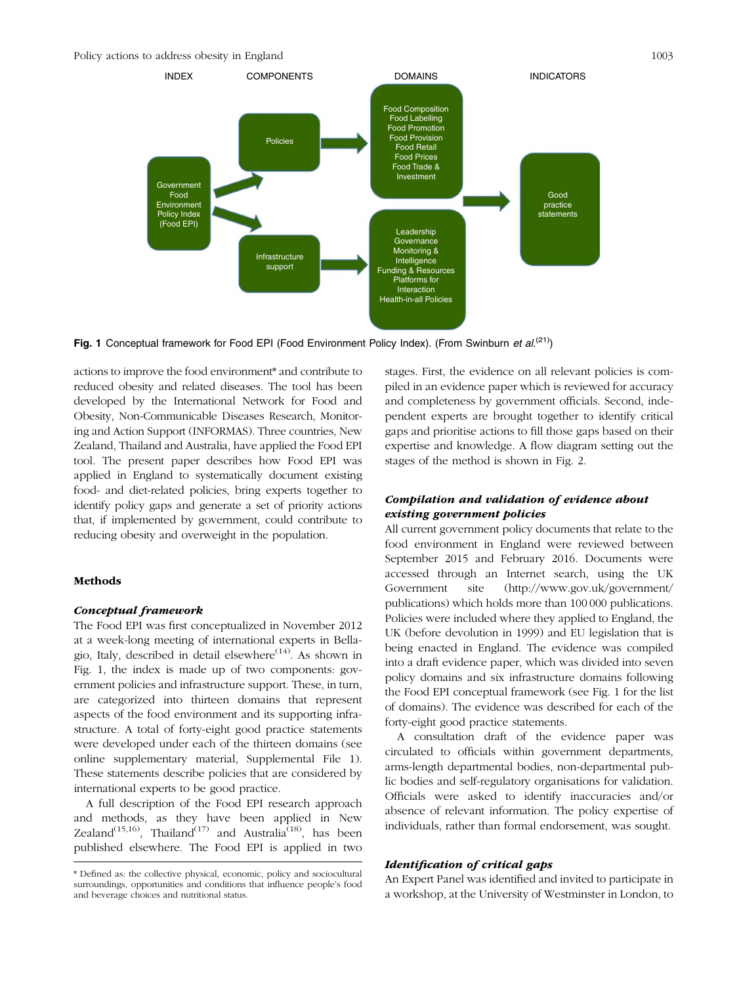Policy actions to address obesity in England 1003



Fig. 1 Conceptual framework for Food EPI (Food Environment Policy Index). (From Swinburn *et al.*<sup>[\(21](#page-8-0))</sup>)

actions to improve the food environment\* and contribute to reduced obesity and related diseases. The tool has been developed by the International Network for Food and Obesity, Non-Communicable Diseases Research, Monitoring and Action Support (INFORMAS). Three countries, New Zealand, Thailand and Australia, have applied the Food EPI tool. The present paper describes how Food EPI was applied in England to systematically document existing food- and diet-related policies, bring experts together to identify policy gaps and generate a set of priority actions that, if implemented by government, could contribute to reducing obesity and overweight in the population.

# Methods

#### Conceptual framework

The Food EPI was first conceptualized in November 2012 at a week-long meeting of international experts in Bellagio, Italy, described in detail elsewhere<sup> $(14)$  $(14)$ </sup>. As shown in Fig. 1, the index is made up of two components: government policies and infrastructure support. These, in turn, are categorized into thirteen domains that represent aspects of the food environment and its supporting infrastructure. A total of forty-eight good practice statements were developed under each of the thirteen domains (see online supplementary material, Supplemental File 1). These statements describe policies that are considered by international experts to be good practice.

A full description of the Food EPI research approach and methods, as they have been applied in New Zealand<sup>[\(15,16](#page-8-0))</sup>, Thailand<sup>([17](#page-8-0))</sup> and Australia<sup>([18\)](#page-8-0)</sup>, has been published elsewhere. The Food EPI is applied in two stages. First, the evidence on all relevant policies is compiled in an evidence paper which is reviewed for accuracy and completeness by government officials. Second, independent experts are brought together to identify critical gaps and prioritise actions to fill those gaps based on their expertise and knowledge. A flow diagram setting out the stages of the method is shown in [Fig. 2](#page-2-0).

# Compilation and validation of evidence about existing government policies

All current government policy documents that relate to the food environment in England were reviewed between September 2015 and February 2016. Documents were accessed through an Internet search, using the UK Government site [\(http://www.gov.uk/government/](http://www.gov.uk/government/publications) [publications\)](http://www.gov.uk/government/publications) which holds more than 100 000 publications. Policies were included where they applied to England, the UK (before devolution in 1999) and EU legislation that is being enacted in England. The evidence was compiled into a draft evidence paper, which was divided into seven policy domains and six infrastructure domains following the Food EPI conceptual framework (see Fig. 1 for the list of domains). The evidence was described for each of the forty-eight good practice statements.

A consultation draft of the evidence paper was circulated to officials within government departments, arms-length departmental bodies, non-departmental public bodies and self-regulatory organisations for validation. Officials were asked to identify inaccuracies and/or absence of relevant information. The policy expertise of individuals, rather than formal endorsement, was sought.

# Identification of critical gaps

An Expert Panel was identified and invited to participate in a workshop, at the University of Westminster in London, to

<sup>\*</sup> Defined as: the collective physical, economic, policy and sociocultural surroundings, opportunities and conditions that influence people's food and beverage choices and nutritional status.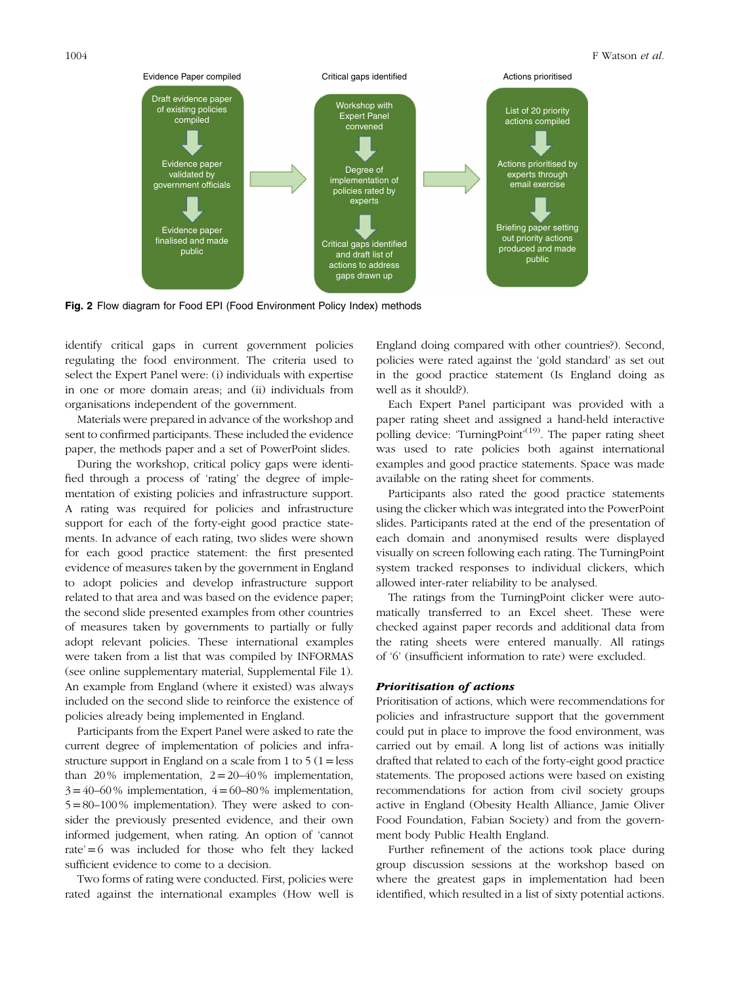<span id="page-2-0"></span>

Fig. 2 Flow diagram for Food EPI (Food Environment Policy Index) methods

identify critical gaps in current government policies regulating the food environment. The criteria used to select the Expert Panel were: (i) individuals with expertise in one or more domain areas; and (ii) individuals from organisations independent of the government.

Materials were prepared in advance of the workshop and sent to confirmed participants. These included the evidence paper, the methods paper and a set of PowerPoint slides.

During the workshop, critical policy gaps were identified through a process of 'rating' the degree of implementation of existing policies and infrastructure support. A rating was required for policies and infrastructure support for each of the forty-eight good practice statements. In advance of each rating, two slides were shown for each good practice statement: the first presented evidence of measures taken by the government in England to adopt policies and develop infrastructure support related to that area and was based on the evidence paper; the second slide presented examples from other countries of measures taken by governments to partially or fully adopt relevant policies. These international examples were taken from a list that was compiled by INFORMAS (see online supplementary material, Supplemental File 1). An example from England (where it existed) was always included on the second slide to reinforce the existence of policies already being implemented in England.

Participants from the Expert Panel were asked to rate the current degree of implementation of policies and infrastructure support in England on a scale from 1 to  $5(1)$  = less than 20% implementation,  $2=20-40%$  implementation,  $3=40-60\%$  implementation,  $4=60-80\%$  implementation, 5=80–100 % implementation). They were asked to consider the previously presented evidence, and their own informed judgement, when rating. An option of 'cannot rate'=6 was included for those who felt they lacked sufficient evidence to come to a decision.

Two forms of rating were conducted. First, policies were rated against the international examples (How well is England doing compared with other countries?). Second, policies were rated against the 'gold standard' as set out in the good practice statement (Is England doing as well as it should?).

Each Expert Panel participant was provided with a paper rating sheet and assigned a hand-held interactive polling device: 'TurningPoint'<sup>[\(19](#page-8-0))</sup>. The paper rating sheet was used to rate policies both against international examples and good practice statements. Space was made available on the rating sheet for comments.

Participants also rated the good practice statements using the clicker which was integrated into the PowerPoint slides. Participants rated at the end of the presentation of each domain and anonymised results were displayed visually on screen following each rating. The TurningPoint system tracked responses to individual clickers, which allowed inter-rater reliability to be analysed.

The ratings from the TurningPoint clicker were automatically transferred to an Excel sheet. These were checked against paper records and additional data from the rating sheets were entered manually. All ratings of '6' (insufficient information to rate) were excluded.

## Prioritisation of actions

Prioritisation of actions, which were recommendations for policies and infrastructure support that the government could put in place to improve the food environment, was carried out by email. A long list of actions was initially drafted that related to each of the forty-eight good practice statements. The proposed actions were based on existing recommendations for action from civil society groups active in England (Obesity Health Alliance, Jamie Oliver Food Foundation, Fabian Society) and from the government body Public Health England.

Further refinement of the actions took place during group discussion sessions at the workshop based on where the greatest gaps in implementation had been identified, which resulted in a list of sixty potential actions.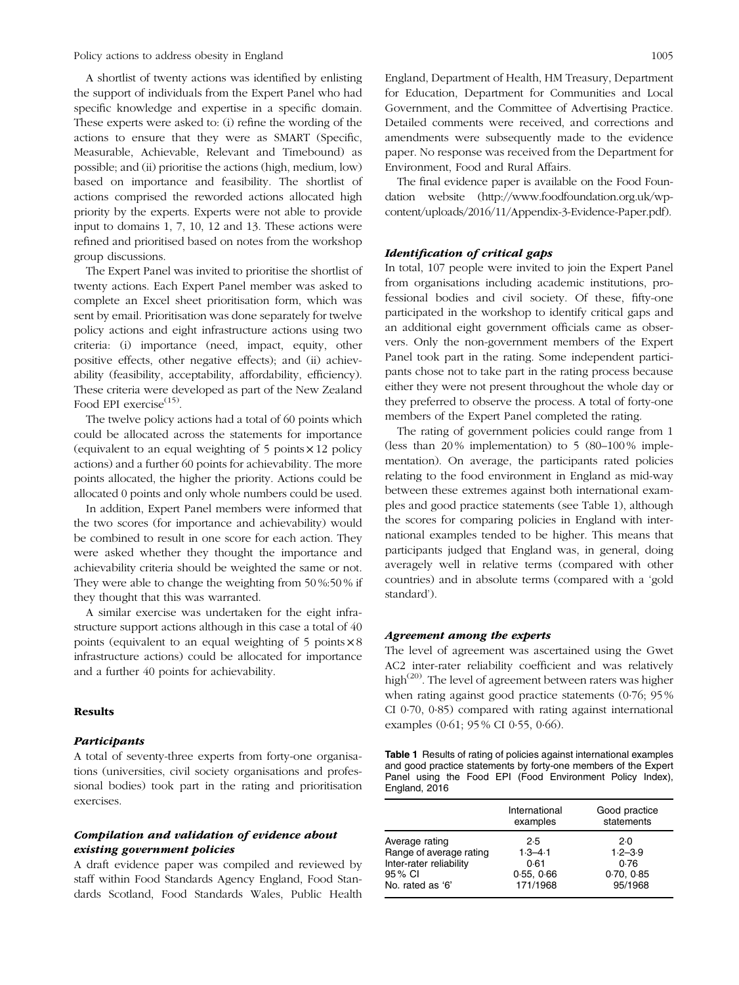Policy actions to address obesity in England 1005

A shortlist of twenty actions was identified by enlisting the support of individuals from the Expert Panel who had specific knowledge and expertise in a specific domain. These experts were asked to: (i) refine the wording of the actions to ensure that they were as SMART (Specific, Measurable, Achievable, Relevant and Timebound) as possible; and (ii) prioritise the actions (high, medium, low) based on importance and feasibility. The shortlist of actions comprised the reworded actions allocated high priority by the experts. Experts were not able to provide input to domains 1, 7, 10, 12 and 13. These actions were refined and prioritised based on notes from the workshop group discussions.

The Expert Panel was invited to prioritise the shortlist of twenty actions. Each Expert Panel member was asked to complete an Excel sheet prioritisation form, which was sent by email. Prioritisation was done separately for twelve policy actions and eight infrastructure actions using two criteria: (i) importance (need, impact, equity, other positive effects, other negative effects); and (ii) achievability (feasibility, acceptability, affordability, efficiency). These criteria were developed as part of the New Zealand Food EPI exercise $^{(15)}$  $^{(15)}$  $^{(15)}$ .

The twelve policy actions had a total of 60 points which could be allocated across the statements for importance (equivalent to an equal weighting of  $5$  points  $\times$  12 policy actions) and a further 60 points for achievability. The more points allocated, the higher the priority. Actions could be allocated 0 points and only whole numbers could be used.

In addition, Expert Panel members were informed that the two scores (for importance and achievability) would be combined to result in one score for each action. They were asked whether they thought the importance and achievability criteria should be weighted the same or not. They were able to change the weighting from 50 %:50 % if they thought that this was warranted.

A similar exercise was undertaken for the eight infrastructure support actions although in this case a total of 40 points (equivalent to an equal weighting of 5 points  $\times 8$ ) infrastructure actions) could be allocated for importance and a further 40 points for achievability.

## Results

## **Participants**

A total of seventy-three experts from forty-one organisations (universities, civil society organisations and professional bodies) took part in the rating and prioritisation exercises.

# Compilation and validation of evidence about existing government policies

A draft evidence paper was compiled and reviewed by staff within Food Standards Agency England, Food Standards Scotland, Food Standards Wales, Public Health England, Department of Health, HM Treasury, Department for Education, Department for Communities and Local Government, and the Committee of Advertising Practice. Detailed comments were received, and corrections and amendments were subsequently made to the evidence paper. No response was received from the Department for Environment, Food and Rural Affairs.

The final evidence paper is available on the Food Foundation website [\(http://www.foodfoundation.org.uk/wp](http://www.foodfoundation.org.uk/wp-content/uploads/2016/11/Appendix-3-Evidence-Paper.pdf)[content/uploads/2016/11/Appendix-3-Evidence-Paper.pdf\)](http://www.foodfoundation.org.uk/wp-content/uploads/2016/11/Appendix-3-Evidence-Paper.pdf).

# Identification of critical gaps

In total, 107 people were invited to join the Expert Panel from organisations including academic institutions, professional bodies and civil society. Of these, fifty-one participated in the workshop to identify critical gaps and an additional eight government officials came as observers. Only the non-government members of the Expert Panel took part in the rating. Some independent participants chose not to take part in the rating process because either they were not present throughout the whole day or they preferred to observe the process. A total of forty-one members of the Expert Panel completed the rating.

The rating of government policies could range from 1 (less than  $20\%$  implementation) to  $5(80-100\%$  implementation). On average, the participants rated policies relating to the food environment in England as mid-way between these extremes against both international examples and good practice statements (see Table 1), although the scores for comparing policies in England with international examples tended to be higher. This means that participants judged that England was, in general, doing averagely well in relative terms (compared with other countries) and in absolute terms (compared with a 'gold standard').

# Agreement among the experts

The level of agreement was ascertained using the Gwet AC2 inter-rater reliability coefficient and was relatively high<sup> $(20)$  $(20)$ </sup>. The level of agreement between raters was higher when rating against good practice statements (0·76; 95 % CI 0·70, 0·85) compared with rating against international examples (0·61; 95 % CI 0·55, 0·66).

|               |  |  | <b>Table 1</b> Results of rating of policies against international examples |  |
|---------------|--|--|-----------------------------------------------------------------------------|--|
|               |  |  | and good practice statements by forty-one members of the Expert             |  |
|               |  |  | Panel using the Food EPI (Food Environment Policy Index),                   |  |
| England, 2016 |  |  |                                                                             |  |

|                         | International<br>examples | Good practice<br>statements |
|-------------------------|---------------------------|-----------------------------|
| Average rating          | 2.5                       | 2.0                         |
| Range of average rating | $1.3 - 4.1$               | $1.2 - 3.9$                 |
| Inter-rater reliability | 0.61                      | 0.76                        |
| 95 % CI                 | 0.55, 0.66                | 0.70, 0.85                  |
| No. rated as '6'        | 171/1968                  | 95/1968                     |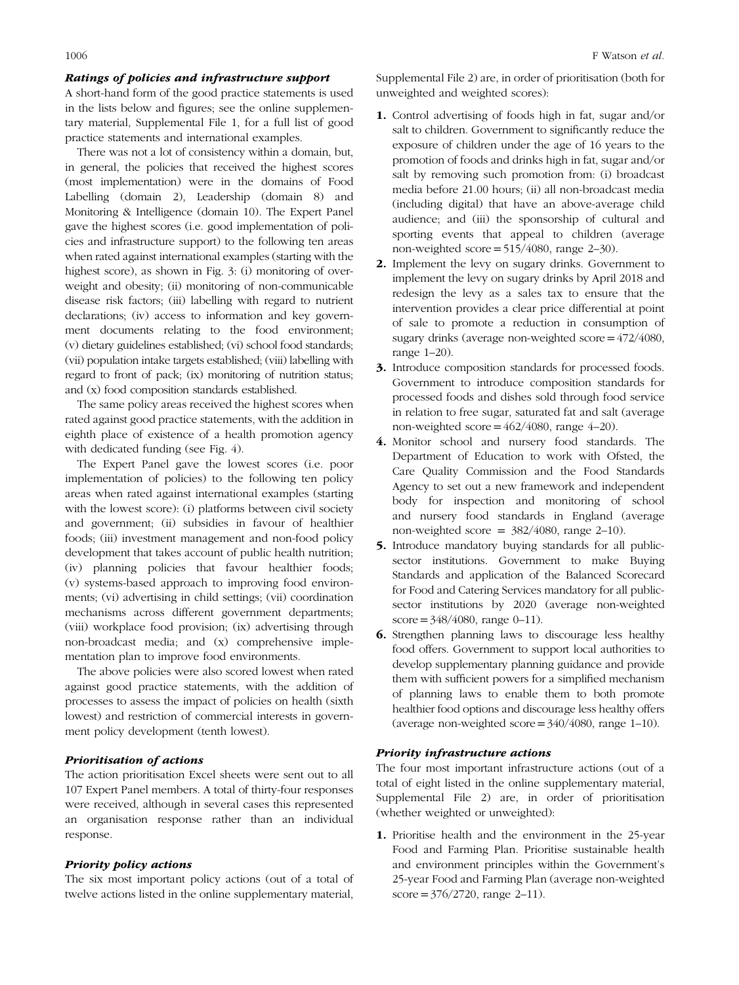# Ratings of policies and infrastructure support

A short-hand form of the good practice statements is used in the lists below and figures; see the online supplementary material, Supplemental File 1, for a full list of good practice statements and international examples.

There was not a lot of consistency within a domain, but, in general, the policies that received the highest scores (most implementation) were in the domains of Food Labelling (domain 2), Leadership (domain 8) and Monitoring & Intelligence (domain 10). The Expert Panel gave the highest scores (i.e. good implementation of policies and infrastructure support) to the following ten areas when rated against international examples (starting with the highest score), as shown in [Fig. 3](#page-5-0): (i) monitoring of overweight and obesity; (ii) monitoring of non-communicable disease risk factors; (iii) labelling with regard to nutrient declarations; (iv) access to information and key government documents relating to the food environment; (v) dietary guidelines established; (vi) school food standards; (vii) population intake targets established; (viii) labelling with regard to front of pack; (ix) monitoring of nutrition status; and (x) food composition standards established.

The same policy areas received the highest scores when rated against good practice statements, with the addition in eighth place of existence of a health promotion agency with dedicated funding (see [Fig. 4](#page-6-0)).

The Expert Panel gave the lowest scores (i.e. poor implementation of policies) to the following ten policy areas when rated against international examples (starting with the lowest score): (i) platforms between civil society and government; (ii) subsidies in favour of healthier foods; (iii) investment management and non-food policy development that takes account of public health nutrition; (iv) planning policies that favour healthier foods; (v) systems-based approach to improving food environments; (vi) advertising in child settings; (vii) coordination mechanisms across different government departments; (viii) workplace food provision; (ix) advertising through non-broadcast media; and (x) comprehensive implementation plan to improve food environments.

The above policies were also scored lowest when rated against good practice statements, with the addition of processes to assess the impact of policies on health (sixth lowest) and restriction of commercial interests in government policy development (tenth lowest).

#### Prioritisation of actions

The action prioritisation Excel sheets were sent out to all 107 Expert Panel members. A total of thirty-four responses were received, although in several cases this represented an organisation response rather than an individual response.

## Priority policy actions

The six most important policy actions (out of a total of twelve actions listed in the online supplementary material,

Supplemental File 2) are, in order of prioritisation (both for unweighted and weighted scores):

- 1. Control advertising of foods high in fat, sugar and/or salt to children. Government to significantly reduce the exposure of children under the age of 16 years to the promotion of foods and drinks high in fat, sugar and/or salt by removing such promotion from: (i) broadcast media before 21.00 hours; (ii) all non-broadcast media (including digital) that have an above-average child audience; and (iii) the sponsorship of cultural and sporting events that appeal to children (average non-weighted score  $=$  515/4080, range 2–30).
- 2. Implement the levy on sugary drinks. Government to implement the levy on sugary drinks by April 2018 and redesign the levy as a sales tax to ensure that the intervention provides a clear price differential at point of sale to promote a reduction in consumption of sugary drinks (average non-weighted score $=472/4080$ , range 1–20).
- 3. Introduce composition standards for processed foods. Government to introduce composition standards for processed foods and dishes sold through food service in relation to free sugar, saturated fat and salt (average non-weighted score  $=462/4080$ , range  $4-20$ ).
- 4. Monitor school and nursery food standards. The Department of Education to work with Ofsted, the Care Quality Commission and the Food Standards Agency to set out a new framework and independent body for inspection and monitoring of school and nursery food standards in England (average non-weighted score =  $382/4080$ , range 2-10).
- 5. Introduce mandatory buying standards for all publicsector institutions. Government to make Buying Standards and application of the Balanced Scorecard for Food and Catering Services mandatory for all publicsector institutions by 2020 (average non-weighted  $score = 348/4080$ , range 0–11).
- 6. Strengthen planning laws to discourage less healthy food offers. Government to support local authorities to develop supplementary planning guidance and provide them with sufficient powers for a simplified mechanism of planning laws to enable them to both promote healthier food options and discourage less healthy offers (average non-weighted score $=340/4080$ , range 1–10).

# Priority infrastructure actions

The four most important infrastructure actions (out of a total of eight listed in the online supplementary material, Supplemental File 2) are, in order of prioritisation (whether weighted or unweighted):

1. Prioritise health and the environment in the 25-year Food and Farming Plan. Prioritise sustainable health and environment principles within the Government's 25-year Food and Farming Plan (average non-weighted  $score = 376/2720$ , range 2–11).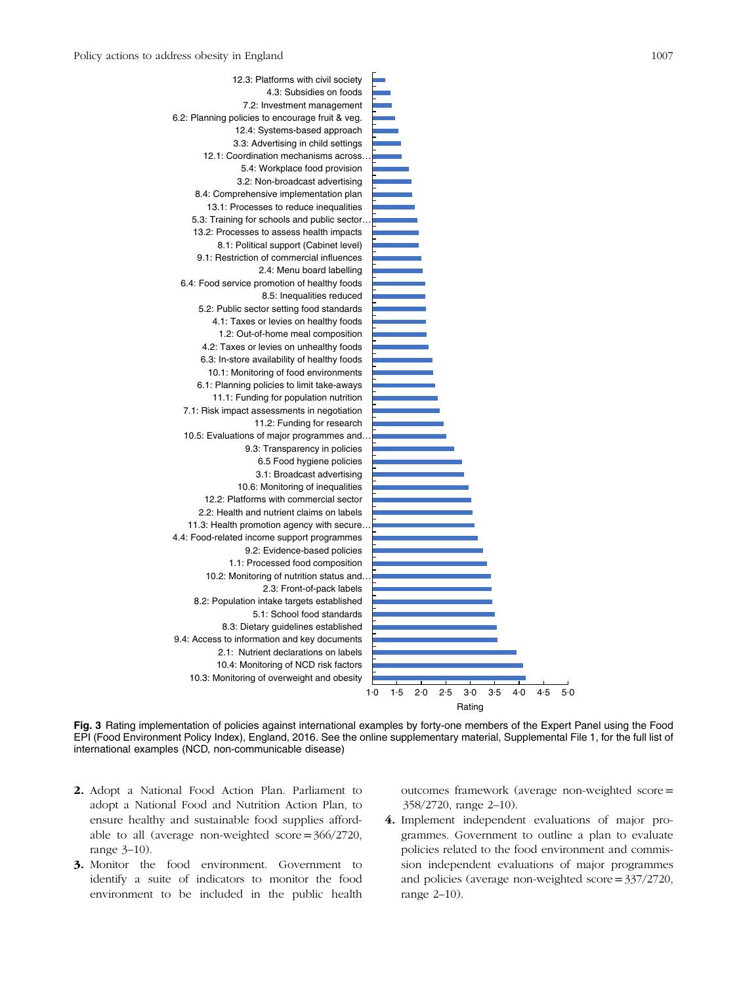<span id="page-5-0"></span>

Fig. 3 Rating implementation of policies against international examples by forty-one members of the Expert Panel using the Food EPI (Food Environment Policy Index), England, 2016. See the online supplementary material, Supplemental File 1, for the full list of international examples (NCD, non-communicable disease)

- 2. Adopt a National Food Action Plan. Parliament to adopt a National Food and Nutrition Action Plan, to ensure healthy and sustainable food supplies affordable to all (average non-weighted score=366/2720, range 3–10).
- 3. Monitor the food environment. Government to identify a suite of indicators to monitor the food environment to be included in the public health

outcomes framework (average non-weighted score= 358/2720, range 2–10).

4. Implement independent evaluations of major programmes. Government to outline a plan to evaluate policies related to the food environment and commission independent evaluations of major programmes and policies (average non-weighted score=337/2720, range 2–10).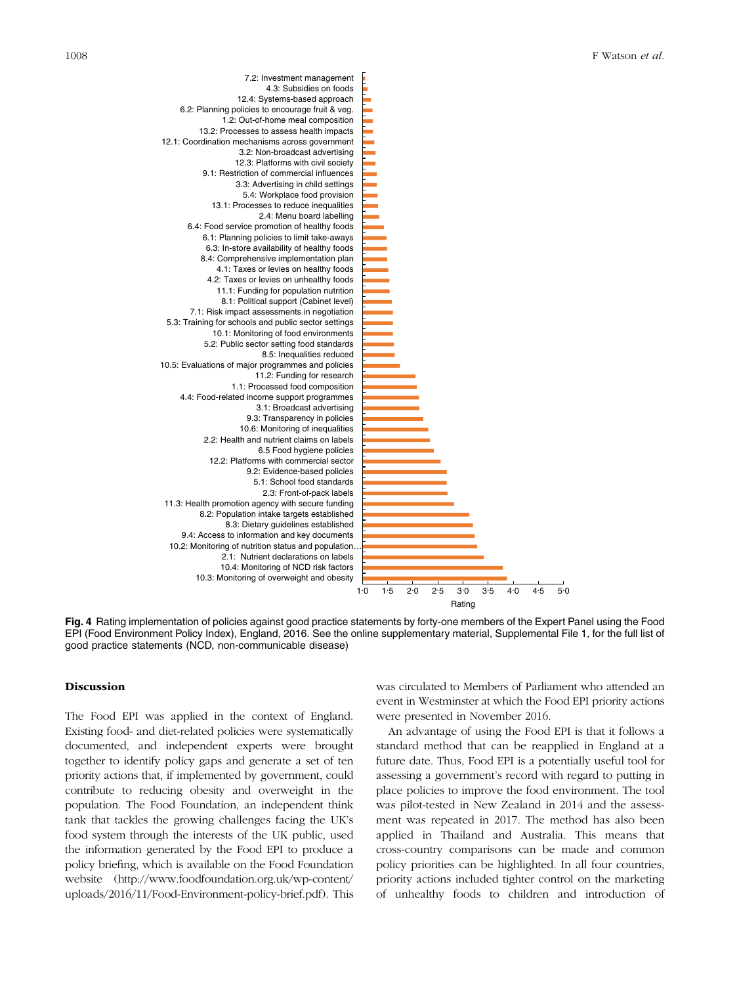<span id="page-6-0"></span>

Fig. 4 Rating implementation of policies against good practice statements by forty-one members of the Expert Panel using the Food EPI (Food Environment Policy Index), England, 2016. See the online supplementary material, Supplemental File 1, for the full list of good practice statements (NCD, non-communicable disease)

# Discussion

The Food EPI was applied in the context of England. Existing food- and diet-related policies were systematically documented, and independent experts were brought together to identify policy gaps and generate a set of ten priority actions that, if implemented by government, could contribute to reducing obesity and overweight in the population. The Food Foundation, an independent think tank that tackles the growing challenges facing the UK's food system through the interests of the UK public, used the information generated by the Food EPI to produce a policy briefing, which is available on the Food Foundation website [\(http://www.foodfoundation.org.uk/wp-content/](http://www.foodfoundation.org.uk/wp-content/uploads/2016/11/Food-Environment-policy-brief.pdf) [uploads/2016/11/Food-Environment-policy-brief.pdf](http://www.foodfoundation.org.uk/wp-content/uploads/2016/11/Food-Environment-policy-brief.pdf)). This was circulated to Members of Parliament who attended an event in Westminster at which the Food EPI priority actions were presented in November 2016.

An advantage of using the Food EPI is that it follows a standard method that can be reapplied in England at a future date. Thus, Food EPI is a potentially useful tool for assessing a government's record with regard to putting in place policies to improve the food environment. The tool was pilot-tested in New Zealand in 2014 and the assessment was repeated in 2017. The method has also been applied in Thailand and Australia. This means that cross-country comparisons can be made and common policy priorities can be highlighted. In all four countries, priority actions included tighter control on the marketing of unhealthy foods to children and introduction of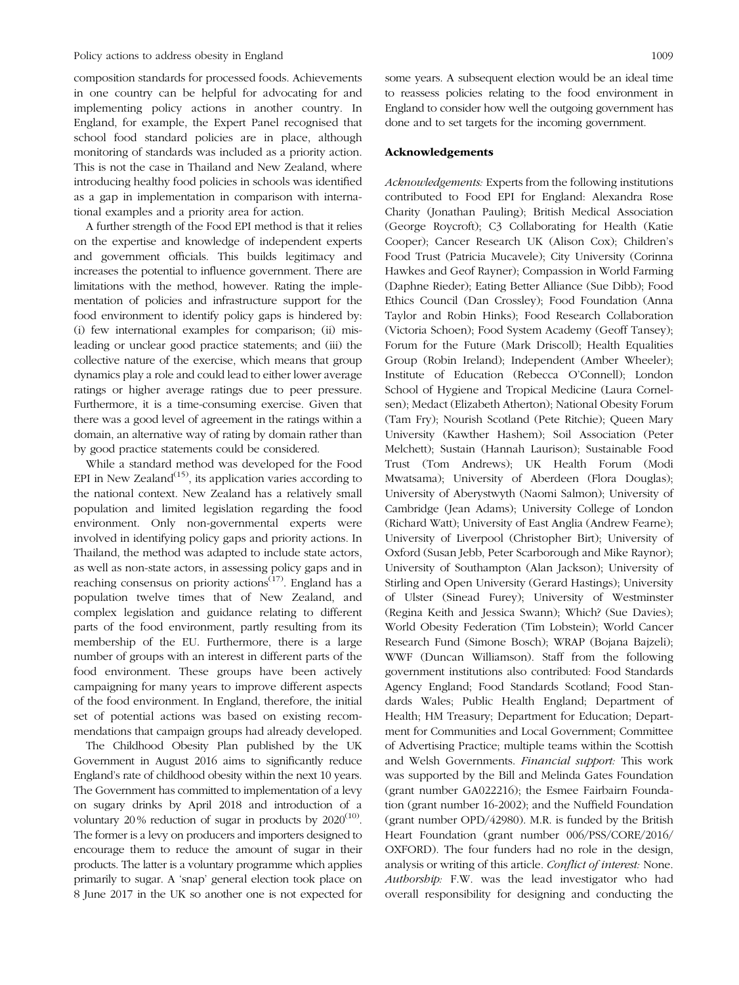composition standards for processed foods. Achievements in one country can be helpful for advocating for and implementing policy actions in another country. In England, for example, the Expert Panel recognised that school food standard policies are in place, although monitoring of standards was included as a priority action. This is not the case in Thailand and New Zealand, where introducing healthy food policies in schools was identified as a gap in implementation in comparison with international examples and a priority area for action.

A further strength of the Food EPI method is that it relies on the expertise and knowledge of independent experts and government officials. This builds legitimacy and increases the potential to influence government. There are limitations with the method, however. Rating the implementation of policies and infrastructure support for the food environment to identify policy gaps is hindered by: (i) few international examples for comparison; (ii) misleading or unclear good practice statements; and (iii) the collective nature of the exercise, which means that group dynamics play a role and could lead to either lower average ratings or higher average ratings due to peer pressure. Furthermore, it is a time-consuming exercise. Given that there was a good level of agreement in the ratings within a domain, an alternative way of rating by domain rather than by good practice statements could be considered.

While a standard method was developed for the Food EPI in New Zealand $^{(15)}$  $^{(15)}$  $^{(15)}$ , its application varies according to the national context. New Zealand has a relatively small population and limited legislation regarding the food environment. Only non-governmental experts were involved in identifying policy gaps and priority actions. In Thailand, the method was adapted to include state actors, as well as non-state actors, in assessing policy gaps and in reaching consensus on priority actions<sup> $(17)$  $(17)$  $(17)$ </sup>. England has a population twelve times that of New Zealand, and complex legislation and guidance relating to different parts of the food environment, partly resulting from its membership of the EU. Furthermore, there is a large number of groups with an interest in different parts of the food environment. These groups have been actively campaigning for many years to improve different aspects of the food environment. In England, therefore, the initial set of potential actions was based on existing recommendations that campaign groups had already developed.

The Childhood Obesity Plan published by the UK Government in August 2016 aims to significantly reduce England's rate of childhood obesity within the next 10 years. The Government has committed to implementation of a levy on sugary drinks by April 2018 and introduction of a voluntary 20% reduction of sugar in products by  $2020^{(10)}$  $2020^{(10)}$  $2020^{(10)}$ . The former is a levy on producers and importers designed to encourage them to reduce the amount of sugar in their products. The latter is a voluntary programme which applies primarily to sugar. A 'snap' general election took place on 8 June 2017 in the UK so another one is not expected for some years. A subsequent election would be an ideal time to reassess policies relating to the food environment in England to consider how well the outgoing government has done and to set targets for the incoming government.

## Acknowledgements

Acknowledgements: Experts from the following institutions contributed to Food EPI for England: Alexandra Rose Charity (Jonathan Pauling); British Medical Association (George Roycroft); C3 Collaborating for Health (Katie Cooper); Cancer Research UK (Alison Cox); Children's Food Trust (Patricia Mucavele); City University (Corinna Hawkes and Geof Rayner); Compassion in World Farming (Daphne Rieder); Eating Better Alliance (Sue Dibb); Food Ethics Council (Dan Crossley); Food Foundation (Anna Taylor and Robin Hinks); Food Research Collaboration (Victoria Schoen); Food System Academy (Geoff Tansey); Forum for the Future (Mark Driscoll); Health Equalities Group (Robin Ireland); Independent (Amber Wheeler); Institute of Education (Rebecca O'Connell); London School of Hygiene and Tropical Medicine (Laura Cornelsen); Medact (Elizabeth Atherton); National Obesity Forum (Tam Fry); Nourish Scotland (Pete Ritchie); Queen Mary University (Kawther Hashem); Soil Association (Peter Melchett); Sustain (Hannah Laurison); Sustainable Food Trust (Tom Andrews); UK Health Forum (Modi Mwatsama); University of Aberdeen (Flora Douglas); University of Aberystwyth (Naomi Salmon); University of Cambridge (Jean Adams); University College of London (Richard Watt); University of East Anglia (Andrew Fearne); University of Liverpool (Christopher Birt); University of Oxford (Susan Jebb, Peter Scarborough and Mike Raynor); University of Southampton (Alan Jackson); University of Stirling and Open University (Gerard Hastings); University of Ulster (Sinead Furey); University of Westminster (Regina Keith and Jessica Swann); Which? (Sue Davies); World Obesity Federation (Tim Lobstein); World Cancer Research Fund (Simone Bosch); WRAP (Bojana Bajzeli); WWF (Duncan Williamson). Staff from the following government institutions also contributed: Food Standards Agency England; Food Standards Scotland; Food Standards Wales; Public Health England; Department of Health; HM Treasury; Department for Education; Department for Communities and Local Government; Committee of Advertising Practice; multiple teams within the Scottish and Welsh Governments. Financial support: This work was supported by the Bill and Melinda Gates Foundation (grant number GA022216); the Esmee Fairbairn Foundation (grant number 16-2002); and the Nuffield Foundation (grant number OPD/42980). M.R. is funded by the British Heart Foundation (grant number 006/PSS/CORE/2016/ OXFORD). The four funders had no role in the design, analysis or writing of this article. Conflict of interest: None. Authorship: F.W. was the lead investigator who had overall responsibility for designing and conducting the